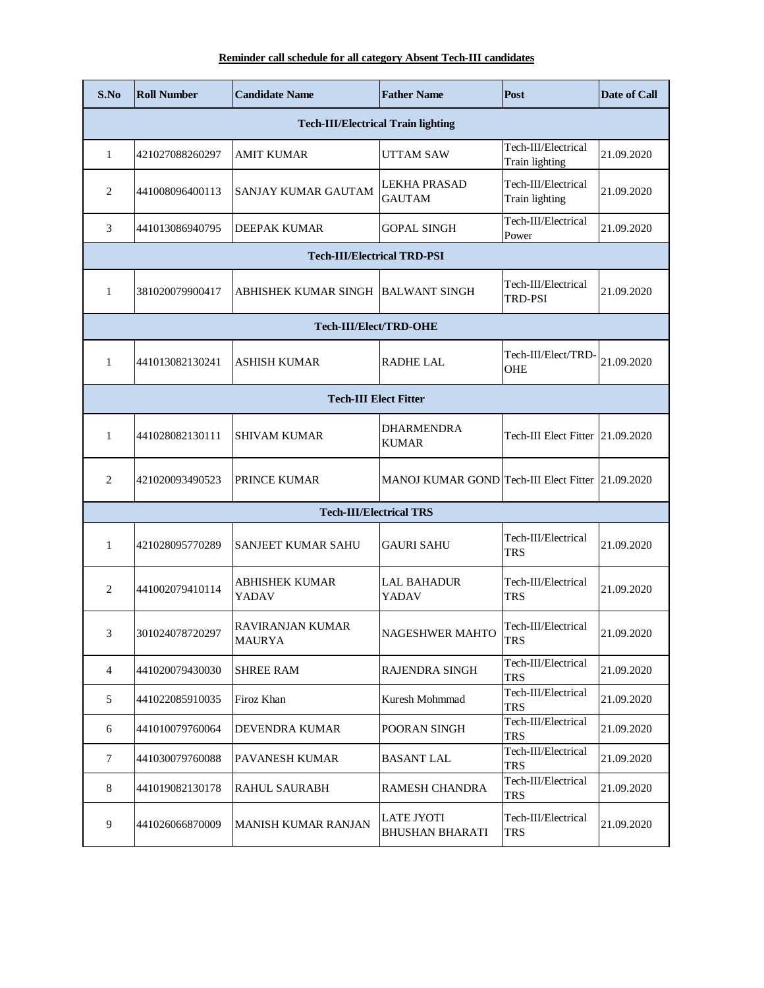## **Reminder call schedule for all category Absent Tech-III candidates**

| S.No                                      | <b>Roll Number</b> | <b>Candidate Name</b>               | <b>Father Name</b>                                | Post                                  | Date of Call |  |
|-------------------------------------------|--------------------|-------------------------------------|---------------------------------------------------|---------------------------------------|--------------|--|
| <b>Tech-III/Electrical Train lighting</b> |                    |                                     |                                                   |                                       |              |  |
| 1                                         | 421027088260297    | AMIT KUMAR                          | <b>UTTAM SAW</b>                                  | Tech-III/Electrical<br>Train lighting | 21.09.2020   |  |
| $\mathfrak{2}$                            | 441008096400113    | SANJAY KUMAR GAUTAM                 | <b>LEKHA PRASAD</b><br><b>GAUTAM</b>              | Tech-III/Electrical<br>Train lighting | 21.09.2020   |  |
| 3                                         | 441013086940795    | <b>DEEPAK KUMAR</b>                 | <b>GOPAL SINGH</b>                                | Tech-III/Electrical<br>Power          | 21.09.2020   |  |
| <b>Tech-III/Electrical TRD-PSI</b>        |                    |                                     |                                                   |                                       |              |  |
| $\mathbf{1}$                              | 381020079900417    | ABHISHEK KUMAR SINGH  BALWANT SINGH |                                                   | Tech-III/Electrical<br>TRD-PSI        | 21.09.2020   |  |
|                                           |                    | Tech-III/Elect/TRD-OHE              |                                                   |                                       |              |  |
| $\mathbf{1}$                              | 441013082130241    | <b>ASHISH KUMAR</b>                 | <b>RADHE LAL</b>                                  | Tech-III/Elect/TRD-<br>OHE            | 21.09.2020   |  |
| <b>Tech-III Elect Fitter</b>              |                    |                                     |                                                   |                                       |              |  |
| $\mathbf{1}$                              | 441028082130111    | <b>SHIVAM KUMAR</b>                 | <b>DHARMENDRA</b><br><b>KUMAR</b>                 | Tech-III Elect Fitter 21.09.2020      |              |  |
| $\overline{2}$                            | 421020093490523    | PRINCE KUMAR                        | MANOJ KUMAR GOND Tech-III Elect Fitter 21.09.2020 |                                       |              |  |
|                                           |                    | <b>Tech-III/Electrical TRS</b>      |                                                   |                                       |              |  |
| 1                                         | 421028095770289    | SANJEET KUMAR SAHU                  | <b>GAURI SAHU</b>                                 | Tech-III/Electrical<br><b>TRS</b>     | 21.09.2020   |  |
| 2                                         | 441002079410114    | <b>ABHISHEK KUMAR</b><br>YADAV      | <b>LAL BAHADUR</b><br>YADAV                       | Tech-III/Electrical<br><b>TRS</b>     | 21.09.2020   |  |
| 3                                         | 301024078720297    | RAVIRANJAN KUMAR<br>MAURYA          | <b>NAGESHWER MAHTO</b>                            | Tech-III/Electrical<br>TRS            | 21.09.2020   |  |
| 4                                         | 441020079430030    | <b>SHREE RAM</b>                    | RAJENDRA SINGH                                    | Tech-III/Electrical<br><b>TRS</b>     | 21.09.2020   |  |
| 5                                         | 441022085910035    | Firoz Khan                          | Kuresh Mohmmad                                    | Tech-III/Electrical<br><b>TRS</b>     | 21.09.2020   |  |
| 6                                         | 441010079760064    | DEVENDRA KUMAR                      | POORAN SINGH                                      | Tech-III/Electrical<br><b>TRS</b>     | 21.09.2020   |  |
| $\tau$                                    | 441030079760088    | PAVANESH KUMAR                      | <b>BASANT LAL</b>                                 | Tech-III/Electrical<br><b>TRS</b>     | 21.09.2020   |  |
| 8                                         | 441019082130178    | <b>RAHUL SAURABH</b>                | <b>RAMESH CHANDRA</b>                             | Tech-III/Electrical<br><b>TRS</b>     | 21.09.2020   |  |
| $\overline{9}$                            | 441026066870009    | <b>MANISH KUMAR RANJAN</b>          | <b>LATE JYOTI</b><br><b>BHUSHAN BHARATI</b>       | Tech-III/Electrical<br><b>TRS</b>     | 21.09.2020   |  |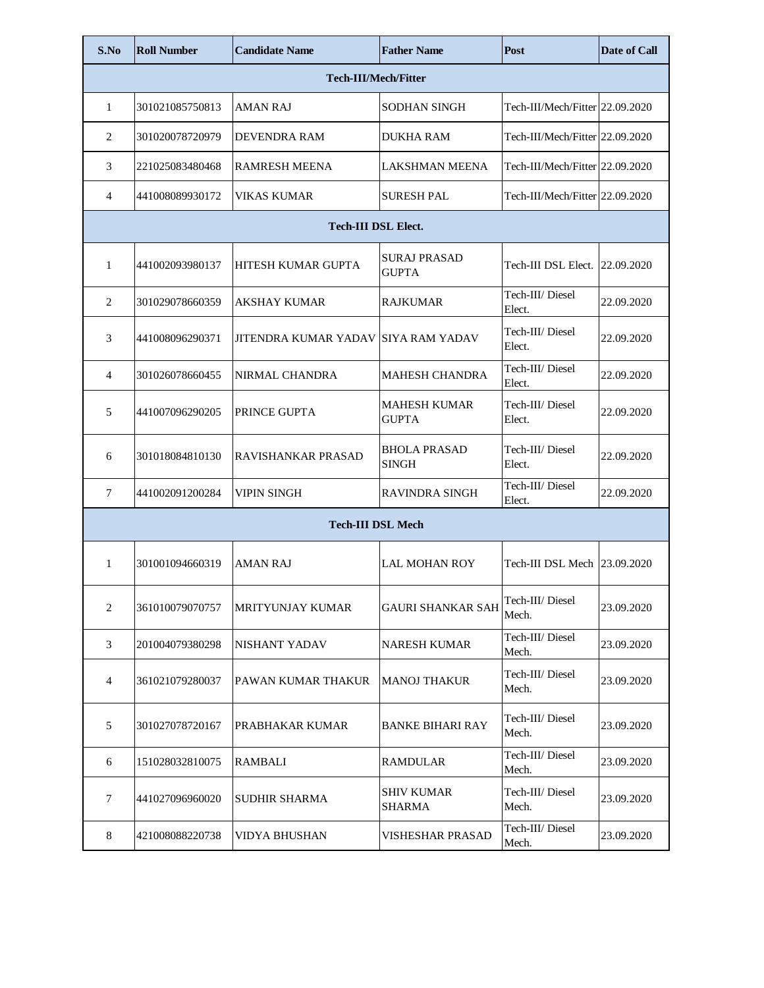| S.No                        | <b>Roll Number</b> | <b>Candidate Name</b>               | <b>Father Name</b>                  | Post                            | <b>Date of Call</b> |  |
|-----------------------------|--------------------|-------------------------------------|-------------------------------------|---------------------------------|---------------------|--|
| <b>Tech-III/Mech/Fitter</b> |                    |                                     |                                     |                                 |                     |  |
| 1                           | 301021085750813    | <b>AMAN RAJ</b>                     | <b>SODHAN SINGH</b>                 | Tech-III/Mech/Fitter 22.09.2020 |                     |  |
| 2                           | 301020078720979    | <b>DEVENDRA RAM</b>                 | <b>DUKHA RAM</b>                    | Tech-III/Mech/Fitter 22.09.2020 |                     |  |
| 3                           | 221025083480468    | <b>RAMRESH MEENA</b>                | <b>LAKSHMAN MEENA</b>               | Tech-III/Mech/Fitter 22.09.2020 |                     |  |
| 4                           | 441008089930172    | VIKAS KUMAR                         | <b>SURESH PAL</b>                   | Tech-III/Mech/Fitter 22.09.2020 |                     |  |
| <b>Tech-III DSL Elect.</b>  |                    |                                     |                                     |                                 |                     |  |
| $\mathbf{1}$                | 441002093980137    | HITESH KUMAR GUPTA                  | <b>SURAJ PRASAD</b><br><b>GUPTA</b> | Tech-III DSL Elect. 22.09.2020  |                     |  |
| 2                           | 301029078660359    | <b>AKSHAY KUMAR</b>                 | <b>RAJKUMAR</b>                     | Tech-III/Diesel<br>Elect.       | 22.09.2020          |  |
| 3                           | 441008096290371    | JITENDRA KUMAR YADAV SIYA RAM YADAV |                                     | Tech-III/Diesel<br>Elect.       | 22.09.2020          |  |
| 4                           | 301026078660455    | <b>NIRMAL CHANDRA</b>               | <b>MAHESH CHANDRA</b>               | Tech-III/Diesel<br>Elect.       | 22.09.2020          |  |
| 5                           | 441007096290205    | PRINCE GUPTA                        | <b>MAHESH KUMAR</b><br><b>GUPTA</b> | Tech-III/Diesel<br>Elect.       | 22.09.2020          |  |
| 6                           | 301018084810130    | RAVISHANKAR PRASAD                  | <b>BHOLA PRASAD</b><br><b>SINGH</b> | Tech-III/Diesel<br>Elect.       | 22.09.2020          |  |
| 7                           | 441002091200284    | VIPIN SINGH                         | <b>RAVINDRA SINGH</b>               | Tech-III/Diesel<br>Elect.       | 22.09.2020          |  |
| <b>Tech-III DSL Mech</b>    |                    |                                     |                                     |                                 |                     |  |
| $\mathbf{1}$                | 301001094660319    | <b>AMAN RAJ</b>                     | <b>LAL MOHAN ROY</b>                | Tech-III DSL Mech 23.09.2020    |                     |  |
| $\mathfrak{2}$              | 361010079070757    | <b>MRITYUNJAY KUMAR</b>             | <b>GAURI SHANKAR SAH</b>            | Tech-III/ Diesel<br>Mech.       | 23.09.2020          |  |
| 3                           | 201004079380298    | NISHANT YADAV                       | <b>NARESH KUMAR</b>                 | Tech-III/ Diesel<br>Mech.       | 23.09.2020          |  |
| 4                           | 361021079280037    | PAWAN KUMAR THAKUR                  | <b>MANOJ THAKUR</b>                 | Tech-III/Diesel<br>Mech.        | 23.09.2020          |  |
| 5                           | 301027078720167    | PRABHAKAR KUMAR                     | <b>BANKE BIHARI RAY</b>             | Tech-III/Diesel<br>Mech.        | 23.09.2020          |  |
| 6                           | 151028032810075    | <b>RAMBALI</b>                      | <b>RAMDULAR</b>                     | Tech-III/Diesel<br>Mech.        | 23.09.2020          |  |
| 7                           | 441027096960020    | <b>SUDHIR SHARMA</b>                | SHIV KUMAR<br><b>SHARMA</b>         | Tech-III/Diesel<br>Mech.        | 23.09.2020          |  |
| 8                           | 421008088220738    | VIDYA BHUSHAN                       | VISHESHAR PRASAD                    | Tech-III/Diesel<br>Mech.        | 23.09.2020          |  |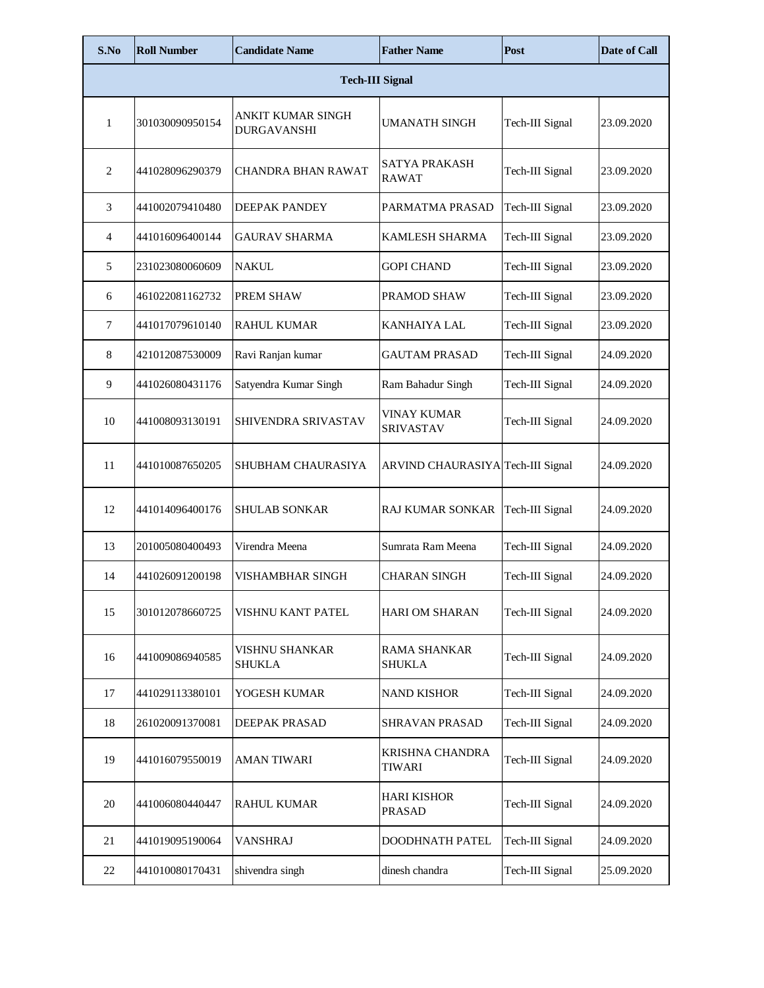| S.No                   | <b>Roll Number</b> | <b>Candidate Name</b>            | <b>Father Name</b>                      | Post            | <b>Date of Call</b> |  |
|------------------------|--------------------|----------------------------------|-----------------------------------------|-----------------|---------------------|--|
| <b>Tech-III Signal</b> |                    |                                  |                                         |                 |                     |  |
| $\mathbf{1}$           | 301030090950154    | ANKIT KUMAR SINGH<br>DURGAVANSHI | <b>UMANATH SINGH</b>                    | Tech-III Signal | 23.09.2020          |  |
| $\overline{2}$         | 441028096290379    | CHANDRA BHAN RAWAT               | SATYA PRAKASH<br><b>RAWAT</b>           | Tech-III Signal | 23.09.2020          |  |
| 3                      | 441002079410480    | DEEPAK PANDEY                    | PARMATMA PRASAD                         | Tech-III Signal | 23.09.2020          |  |
| $\overline{4}$         | 441016096400144    | GAURAV SHARMA                    | KAMLESH SHARMA                          | Tech-III Signal | 23.09.2020          |  |
| 5                      | 231023080060609    | <b>NAKUL</b>                     | <b>GOPI CHAND</b>                       | Tech-III Signal | 23.09.2020          |  |
| 6                      | 461022081162732    | PREM SHAW                        | PRAMOD SHAW                             | Tech-III Signal | 23.09.2020          |  |
| $7\phantom{.0}$        | 441017079610140    | <b>RAHUL KUMAR</b>               | <b>KANHAIYA LAL</b>                     | Tech-III Signal | 23.09.2020          |  |
| 8                      | 421012087530009    | Ravi Ranjan kumar                | <b>GAUTAM PRASAD</b>                    | Tech-III Signal | 24.09.2020          |  |
| 9                      | 441026080431176    | Satyendra Kumar Singh            | Ram Bahadur Singh                       | Tech-III Signal | 24.09.2020          |  |
| 10                     | 441008093130191    | SHIVENDRA SRIVASTAV              | <b>VINAY KUMAR</b><br><b>SRIVASTAV</b>  | Tech-III Signal | 24.09.2020          |  |
| 11                     | 441010087650205    | SHUBHAM CHAURASIYA               | ARVIND CHAURASIYA Tech-III Signal       |                 | 24.09.2020          |  |
| 12                     | 441014096400176    | SHULAB SONKAR                    | <b>RAJ KUMAR SONKAR</b>                 | Tech-III Signal | 24.09.2020          |  |
| 13                     | 201005080400493    | Virendra Meena                   | Sumrata Ram Meena                       | Tech-III Signal | 24.09.2020          |  |
| 14                     | 441026091200198    | VISHAMBHAR SINGH                 | <b>CHARAN SINGH</b>                     | Tech-III Signal | 24.09.2020          |  |
| 15                     | 301012078660725    | VISHNU KANT PATEL                | <b>HARI OM SHARAN</b>                   | Tech-III Signal | 24.09.2020          |  |
| 16                     | 441009086940585    | VISHNU SHANKAR<br>SHUKLA         | RAMA SHANKAR<br><b>SHUKLA</b>           | Tech-III Signal | 24.09.2020          |  |
| 17                     | 441029113380101    | YOGESH KUMAR                     | <b>NAND KISHOR</b>                      | Tech-III Signal | 24.09.2020          |  |
| 18                     | 261020091370081    | DEEPAK PRASAD                    | SHRAVAN PRASAD                          | Tech-III Signal | 24.09.2020          |  |
| 19                     | 441016079550019    | AMAN TIWARI                      | <b>KRISHNA CHANDRA</b><br><b>TIWARI</b> | Tech-III Signal | 24.09.2020          |  |
| $20\,$                 | 441006080440447    | RAHUL KUMAR                      | <b>HARI KISHOR</b><br><b>PRASAD</b>     | Tech-III Signal | 24.09.2020          |  |
| 21                     | 441019095190064    | VANSHRAJ                         | DOODHNATH PATEL                         | Tech-III Signal | 24.09.2020          |  |
| 22                     | 441010080170431    | shivendra singh                  | dinesh chandra                          | Tech-III Signal | 25.09.2020          |  |